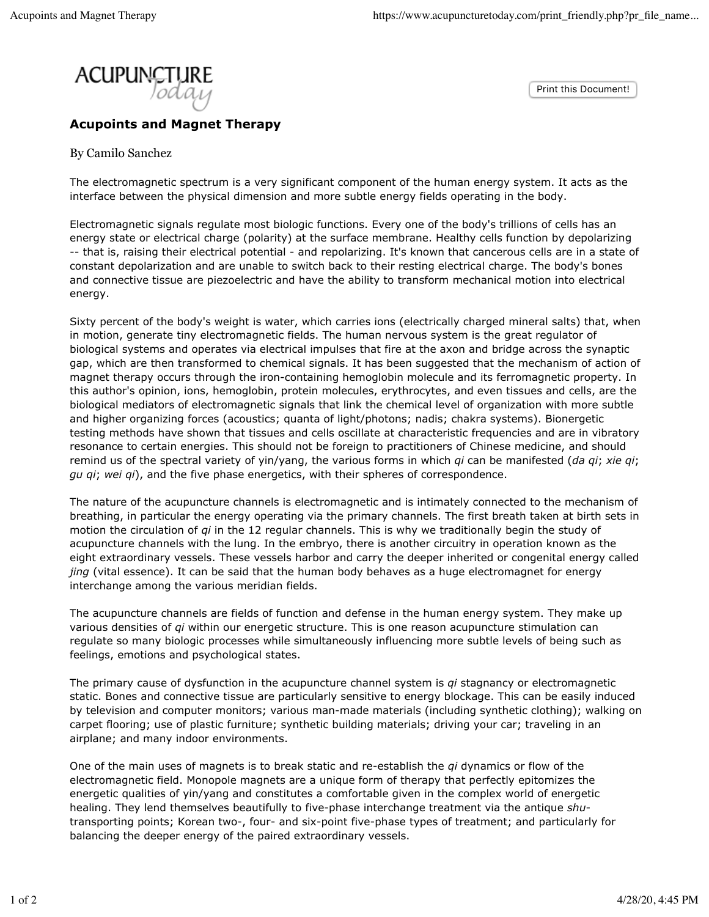Print this Document!



**Acupoints and Magnet Therapy**

By Camilo Sanchez

The electromagnetic spectrum is a very significant component of the human energy system. It acts as the interface between the physical dimension and more subtle energy fields operating in the body.

Electromagnetic signals regulate most biologic functions. Every one of the body's trillions of cells has an energy state or electrical charge (polarity) at the surface membrane. Healthy cells function by depolarizing -- that is, raising their electrical potential - and repolarizing. It's known that cancerous cells are in a state of constant depolarization and are unable to switch back to their resting electrical charge. The body's bones and connective tissue are piezoelectric and have the ability to transform mechanical motion into electrical energy.

Sixty percent of the body's weight is water, which carries ions (electrically charged mineral salts) that, when in motion, generate tiny electromagnetic fields. The human nervous system is the great regulator of biological systems and operates via electrical impulses that fire at the axon and bridge across the synaptic gap, which are then transformed to chemical signals. It has been suggested that the mechanism of action of magnet therapy occurs through the iron-containing hemoglobin molecule and its ferromagnetic property. In this author's opinion, ions, hemoglobin, protein molecules, erythrocytes, and even tissues and cells, are the biological mediators of electromagnetic signals that link the chemical level of organization with more subtle and higher organizing forces (acoustics; quanta of light/photons; nadis; chakra systems). Bionergetic testing methods have shown that tissues and cells oscillate at characteristic frequencies and are in vibratory resonance to certain energies. This should not be foreign to practitioners of Chinese medicine, and should remind us of the spectral variety of yin/yang, the various forms in which *qi* can be manifested (*da qi*; *xie qi*; *gu qi*; *wei qi*), and the five phase energetics, with their spheres of correspondence.

The nature of the acupuncture channels is electromagnetic and is intimately connected to the mechanism of breathing, in particular the energy operating via the primary channels. The first breath taken at birth sets in motion the circulation of *qi* in the 12 regular channels. This is why we traditionally begin the study of acupuncture channels with the lung. In the embryo, there is another circuitry in operation known as the eight extraordinary vessels. These vessels harbor and carry the deeper inherited or congenital energy called *jing* (vital essence). It can be said that the human body behaves as a huge electromagnet for energy interchange among the various meridian fields.

The acupuncture channels are fields of function and defense in the human energy system. They make up various densities of *qi* within our energetic structure. This is one reason acupuncture stimulation can regulate so many biologic processes while simultaneously influencing more subtle levels of being such as feelings, emotions and psychological states.

The primary cause of dysfunction in the acupuncture channel system is *qi* stagnancy or electromagnetic static. Bones and connective tissue are particularly sensitive to energy blockage. This can be easily induced by television and computer monitors; various man-made materials (including synthetic clothing); walking on carpet flooring; use of plastic furniture; synthetic building materials; driving your car; traveling in an airplane; and many indoor environments.

One of the main uses of magnets is to break static and re-establish the *qi* dynamics or flow of the electromagnetic field. Monopole magnets are a unique form of therapy that perfectly epitomizes the energetic qualities of yin/yang and constitutes a comfortable given in the complex world of energetic healing. They lend themselves beautifully to five-phase interchange treatment via the antique *shu*transporting points; Korean two-, four- and six-point five-phase types of treatment; and particularly for balancing the deeper energy of the paired extraordinary vessels.